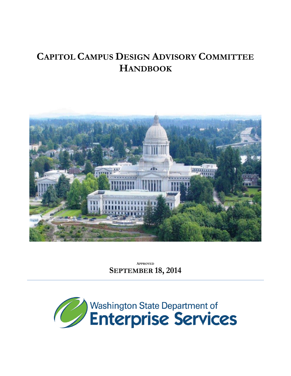# **CAPITOL CAMPUS DESIGN ADVISORY COMMITTEE HANDBOOK**



**APPROVED SEPTEMBER 18, 2014**

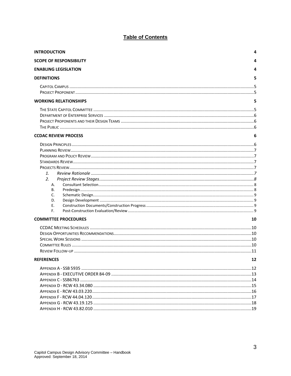# **Table of Contents**

| <b>INTRODUCTION</b>            | 4  |
|--------------------------------|----|
| <b>SCOPE OF RESPONSIBILITY</b> | 4  |
| <b>ENABLING LEGISLATION</b>    |    |
| <b>DEFINITIONS</b>             | 5  |
|                                |    |
|                                |    |
| <b>WORKING RELATIONSHIPS</b>   | 5  |
|                                |    |
|                                |    |
|                                |    |
|                                |    |
| <b>CCDAC REVIEW PROCESS</b>    | 6  |
|                                |    |
|                                |    |
|                                |    |
|                                |    |
|                                |    |
| 1.                             |    |
| 2.                             |    |
| А.                             |    |
| В.                             |    |
| C.                             |    |
| D.                             |    |
| Е.                             |    |
| F.                             |    |
| <b>COMMITTEE PROCEDURES</b>    | 10 |
|                                |    |
|                                |    |
|                                |    |
|                                |    |
|                                |    |
| <b>REFERENCES</b>              | 12 |
|                                |    |
|                                |    |
|                                |    |
|                                |    |
|                                |    |
|                                |    |
|                                |    |
|                                |    |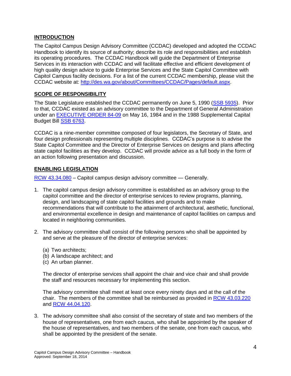# <span id="page-3-0"></span>**INTRODUCTION**

The Capitol Campus Design Advisory Committee (CCDAC) developed and adopted the CCDAC Handbook to identify its source of authority; describe its role and responsibilities and establish its operating procedures. The CCDAC Handbook will guide the Department of Enterprise Services in its interaction with CCDAC and will facilitate effective and efficient development of high quality design advice to guide Enterprise Services and the State Capitol Committee with Capitol Campus facility decisions. For a list of the current CCDAC membership, please visit the CCDAC website at: [http://des.wa.gov/about/Committees/CCDAC/Pages/default.aspx.](http://des.wa.gov/about/Committees/CCDAC/Pages/default.aspx)

# <span id="page-3-1"></span>**SCOPE OF RESPONSIBILITY**

The State Legislature established the CCDAC permanently on June 5, 1990 [\(SSB 5935\)](http://leg.wa.gov/CodeReviser/documents/sessionlaw/1990pam1.pdf). Prior to that, CCDAC existed as an advisory committee to the Department of General Administration under an **EXECUTIVE ORDER 84-09** on May 16, 1984 and in the 1988 Supplemental Capital Budget Bill SSB [6763.](http://leap.leg.wa.gov/leap/budget/lbns/1988partv.pdf)

CCDAC is a nine-member committee composed of four legislators, the Secretary of State, and four design professionals representing multiple disciplines. CCDAC's purpose is to advise the State Capitol Committee and the Director of Enterprise Services on designs and plans affecting state capitol facilities as they develop. CCDAC will provide advice as a full body in the form of an action following presentation and discussion.

# <span id="page-3-2"></span>**ENABLING LEGISLATION**

[RCW 43.34.080](file://filedepot.eclient.wa.lcl/Legacy-GA/Facilities/Business%20Unit/Administration/Administration%20-%20Staff/CCDAC/CCDAC%20Handbook/RCW%2043_34_080%20Capitol%20campus%20design%20advisory%20committee%20—%20Generally_.htm) – Capitol campus design advisory committee — Generally.

- 1. The capitol campus design advisory committee is established as an advisory group to the capitol committee and the director of enterprise services to review programs, planning, design, and landscaping of state capitol facilities and grounds and to make recommendations that will contribute to the attainment of architectural, aesthetic, functional, and environmental excellence in design and maintenance of capitol facilities on campus and located in neighboring communities.
- 2. The advisory committee shall consist of the following persons who shall be appointed by and serve at the pleasure of the director of enterprise services:
	- (a) Two architects;
	- (b) A landscape architect; and
	- (c) An urban planner.

The director of enterprise services shall appoint the chair and vice chair and shall provide the staff and resources necessary for implementing this section.

The advisory committee shall meet at least once every ninety days and at the call of the chair. The members of the committee shall be reimbursed as provided in [RCW 43.03.220](RCW%2043_03_220%20Compensation%20of%20members%20of%20part-time%20boards%20and%20commissions%20—%20Class%20one%20groups%20(as%20amended%20by%202011%20c%205)_.htm) and [RCW 44.04.120.](RCW%2044_04_120%20Members)

3. The advisory committee shall also consist of the secretary of state and two members of the house of representatives, one from each caucus, who shall be appointed by the speaker of the house of representatives, and two members of the senate, one from each caucus, who shall be appointed by the president of the senate.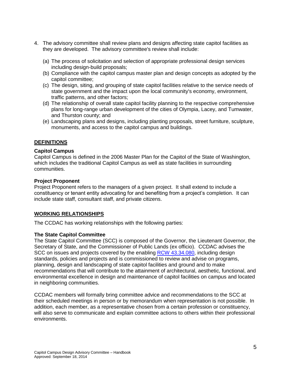- 4. The advisory committee shall review plans and designs affecting state capitol facilities as they are developed. The advisory committee's review shall include:
	- (a) The process of solicitation and selection of appropriate professional design services including design-build proposals;
	- (b) Compliance with the capitol campus master plan and design concepts as adopted by the capitol committee;
	- (c) The design, siting, and grouping of state capitol facilities relative to the service needs of state government and the impact upon the local community's economy, environment, traffic patterns, and other factors;
	- (d) The relationship of overall state capitol facility planning to the respective comprehensive plans for long-range urban development of the cities of Olympia, Lacey, and Tumwater, and Thurston county; and
	- (e) Landscaping plans and designs, including planting proposals, street furniture, sculpture, monuments, and access to the capitol campus and buildings.

# <span id="page-4-0"></span>**DEFINITIONS**

## <span id="page-4-1"></span>**Capitol Campus**

Capitol Campus is defined in the 2006 Master Plan for the Capitol of the State of Washington, which includes the traditional Capitol Campus as well as state facilities in surrounding communities.

## <span id="page-4-2"></span>**Project Proponent**

Project Proponent refers to the managers of a given project. It shall extend to include a constituency or tenant entity advocating for and benefiting from a project's completion. It can include state staff, consultant staff, and private citizens.

# <span id="page-4-3"></span>**WORKING RELATIONSHIPS**

The CCDAC has working relationships with the following parties:

#### <span id="page-4-4"></span>**The State Capitol Committee**

The State Capitol Committee (SCC) is composed of the Governor, the Lieutenant Governor, the Secretary of State, and the Commissioner of Public Lands (ex officio). CCDAC advises the SCC on issues and projects covered by the enabling [RCW 43.34.080,](RCW%2043_34_080%20Capitol%20campus%20design%20advisory%20committee%20—%20Generally_.htm) including design standards, policies and projects and is commissioned to review and advise on programs, planning, design and landscaping of state capitol facilities and ground and to make recommendations that will contribute to the attainment of architectural, aesthetic, functional, and environmental excellence in design and maintenance of capitol facilities on campus and located in neighboring communities.

CCDAC members will formally bring committee advice and recommendations to the SCC at their scheduled meetings in person or by memorandum when representation is not possible. In addition, each member, as a representative chosen from a certain profession or constituency, will also serve to communicate and explain committee actions to others within their professional environments.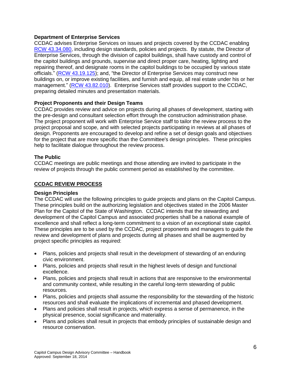# <span id="page-5-0"></span>**Department of Enterprise Services**

CCDAC advises Enterprise Services on issues and projects covered by the CCDAC enabling RCW [43.34.080,](RCW%2043_34_080%20Capitol%20campus%20design%20advisory%20committee%20—%20Generally_.htm) including design standards, policies and projects. By statute, the Director of Enterprise Services, through the division of capitol buildings, shall have custody and control of the capitol buildings and grounds, supervise and direct proper care, heating, lighting and repairing thereof, and designate rooms in the capitol buildings to be occupied by various state officials." [\(RCW 43.19.125\)](http://apps.leg.wa.gov/rcw/default.aspx?cite=43.19.125); and, "the Director of Enterprise Services may construct new buildings on, or improve existing facilities, and furnish and equip, all real estate under his or her management." [\(RCW 43.82.010\)](http://apps.leg.wa.gov/rcw/default.aspx?cite=43.82.010). Enterprise Services staff provides support to the CCDAC, preparing detailed minutes and presentation materials.

# <span id="page-5-1"></span>**Project Proponents and their Design Teams**

CCDAC provides review and advice on projects during all phases of development, starting with the pre-design and consultant selection effort through the construction administration phase. The project proponent will work with Enterprise Service staff to tailor the review process to the project proposal and scope, and with selected projects participating in reviews at all phases of design. Proponents are encouraged to develop and refine a set of design goals and objectives for the project that are more specific than the Committee's design principles. These principles help to facilitate dialogue throughout the review process.

## <span id="page-5-2"></span>**The Public**

CCDAC meetings are public meetings and those attending are invited to participate in the review of projects through the public comment period as established by the committee.

## <span id="page-5-3"></span>**CCDAC REVIEW PROCESS**

#### <span id="page-5-4"></span>**Design Principles**

The CCDAC will use the following principles to guide projects and plans on the Capitol Campus. These principles build on the authorizing legislation and objectives stated in the 2006 Master Plan for the Capitol of the State of Washington. CCDAC intends that the stewarding and development of the Capitol Campus and associated properties shall be a national example of excellence and shall reflect a long-term commitment to a vision of an exceptional state capitol. These principles are to be used by the CCDAC, project proponents and managers to guide the review and development of plans and projects during all phases and shall be augmented by project specific principles as required:

- Plans, policies and projects shall result in the development of stewarding of an enduring civic environment.
- Plans, policies and projects shall result in the highest levels of design and functional excellence.
- Plans, policies and projects shall result in actions that are responsive to the environmental and community context, while resulting in the careful long-term stewarding of public resources.
- Plans, policies and projects shall assume the responsibility for the stewarding of the historic resources and shall evaluate the implications of incremental and phased development.
- Plans and policies shall result in projects, which express a sense of permanence, in the physical presence, social significance and materiality.
- Plans and policies shall result in projects that embody principles of sustainable design and resource conservation.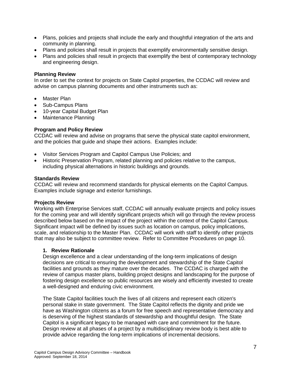- Plans, policies and projects shall include the early and thoughtful integration of the arts and community in planning.
- Plans and policies shall result in projects that exemplify environmentally sensitive design.
- Plans and policies shall result in projects that exemplify the best of contemporary technology and engineering design.

#### <span id="page-6-0"></span>**Planning Review**

In order to set the context for projects on State Capitol properties, the CCDAC will review and advise on campus planning documents and other instruments such as:

- Master Plan
- Sub-Campus Plans
- 10-year Capital Budget Plan
- Maintenance Planning

## <span id="page-6-1"></span>**Program and Policy Review**

CCDAC will review and advise on programs that serve the physical state capitol environment, and the policies that guide and shape their actions. Examples include:

- Visitor Services Program and Capitol Campus Use Policies; and
- Historic Preservation Program, related planning and policies relative to the campus, including physical alternations in historic buildings and grounds.

#### <span id="page-6-2"></span>**Standards Review**

CCDAC will review and recommend standards for physical elements on the Capitol Campus. Examples include signage and exterior furnishings.

#### <span id="page-6-3"></span>**Projects Review**

Working with Enterprise Services staff, CCDAC will annually evaluate projects and policy issues for the coming year and will identify significant projects which will go through the review process described below based on the impact of the project within the context of the Capitol Campus. Significant impact will be defined by issues such as location on campus, policy implications, scale, and relationship to the Master Plan. CCDAC will work with staff to identify other projects that may also be subject to committee review. Refer to Committee Procedures on page 10.

#### <span id="page-6-4"></span>**1. Review Rationale**

Design excellence and a clear understanding of the long-term implications of design decisions are critical to ensuring the development and stewardship of the State Capitol facilities and grounds as they mature over the decades. The CCDAC is charged with the review of campus master plans, building project designs and landscaping for the purpose of fostering design excellence so public resources are wisely and efficiently invested to create a well-designed and enduring civic environment.

The State Capitol facilities touch the lives of all citizens and represent each citizen's personal stake in state government. The State Capitol reflects the dignity and pride we have as Washington citizens as a forum for free speech and representative democracy and is deserving of the highest standards of stewardship and thoughtful design. The State Capitol is a significant legacy to be managed with care and commitment for the future. Design review at all phases of a project by a multidisciplinary review body is best able to provide advice regarding the long-term implications of incremental decisions.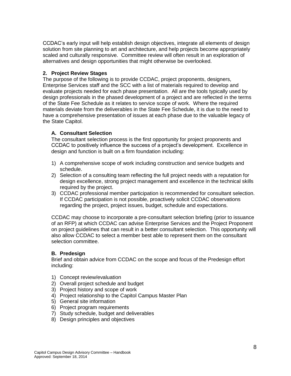CCDAC's early input will help establish design objectives, integrate all elements of design solution from site planning to art and architecture, and help projects become appropriately scaled and culturally responsive. Committee review will often result in an exploration of alternatives and design opportunities that might otherwise be overlooked.

# <span id="page-7-0"></span>**2. Project Review Stages**

The purpose of the following is to provide CCDAC, project proponents, designers, Enterprise Services staff and the SCC with a list of materials required to develop and evaluate projects needed for each phase presentation. All are the tools typically used by design professionals in the phased development of a project and are reflected in the terms of the State Fee Schedule as it relates to service scope of work. Where the required materials deviate from the deliverables in the State Fee Schedule, it is due to the need to have a comprehensive presentation of issues at each phase due to the valuable legacy of the State Capitol.

# <span id="page-7-1"></span>**A. Consultant Selection**

The consultant selection process is the first opportunity for project proponents and CCDAC to positively influence the success of a project's development. Excellence in design and function is built on a firm foundation including:

- 1) A comprehensive scope of work including construction and service budgets and schedule.
- 2) Selection of a consulting team reflecting the full project needs with a reputation for design excellence, strong project management and excellence in the technical skills required by the project.
- 3) CCDAC professional member participation is recommended for consultant selection. If CCDAC participation is not possible, proactively solicit CCDAC observations regarding the project, project issues, budget, schedule and expectations.

CCDAC may choose to incorporate a pre-consultant selection briefing (prior to issuance of an RFP) at which CCDAC can advise Enterprise Services and the Project Proponent on project guidelines that can result in a better consultant selection. This opportunity will also allow CCDAC to select a member best able to represent them on the consultant selection committee.

# <span id="page-7-2"></span>**B. Predesign**

Brief and obtain advice from CCDAC on the scope and focus of the Predesign effort including:

- 1) Concept review/evaluation
- 2) Overall project schedule and budget
- 3) Project history and scope of work
- 4) Project relationship to the Capitol Campus Master Plan
- 5) General site information
- 6) Project program requirements
- 7) Study schedule, budget and deliverables
- 8) Design principles and objectives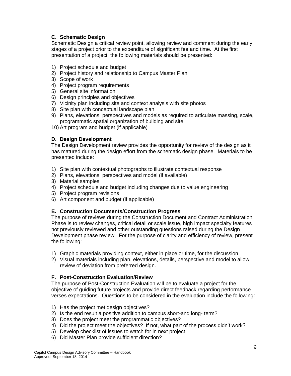# <span id="page-8-0"></span>**C. Schematic Design**

Schematic Design a critical review point, allowing review and comment during the early stages of a project prior to the expenditure of significant fee and time. At the first presentation of a project, the following materials should be presented:

- 1) Project schedule and budget
- 2) Project history and relationship to Campus Master Plan
- 3) Scope of work
- 4) Project program requirements
- 5) General site information
- 6) Design principles and objectives
- 7) Vicinity plan including site and context analysis with site photos
- 8) Site plan with conceptual landscape plan
- 9) Plans, elevations, perspectives and models as required to articulate massing, scale, programmatic spatial organization of building and site
- 10) Art program and budget (if applicable)

# <span id="page-8-1"></span>**D. Design Development**

The Design Development review provides the opportunity for review of the design as it has matured during the design effort from the schematic design phase. Materials to be presented include:

- 1) Site plan with contextual photographs to illustrate contextual response
- 2) Plans, elevations, perspectives and model (if available)
- 3) Material samples
- 4) Project schedule and budget including changes due to value engineering
- 5) Project program revisions
- 6) Art component and budget (if applicable)

# <span id="page-8-2"></span>**E. Construction Documents/Construction Progress**

The purpose of reviews during the Construction Document and Contract Administration Phase is to review changes, critical detail or scale issue, high impact specialty features not previously reviewed and other outstanding questions raised during the Design Development phase review. For the purpose of clarity and efficiency of review, present the following:

- 1) Graphic materials providing context, either in place or time, for the discussion.
- 2) Visual materials including plan, elevations, details, perspective and model to allow review of deviation from preferred design.

# <span id="page-8-3"></span>**F. Post-Construction Evaluation/Review**

The purpose of Post-Construction Evaluation will be to evaluate a project for the objective of guiding future projects and provide direct feedback regarding performance verses expectations. Questions to be considered in the evaluation include the following:

- 1) Has the project met design objectives?
- 2) Is the end result a positive addition to campus short-and long- term?
- 3) Does the project meet the programmatic objectives?
- 4) Did the project meet the objectives? If not, what part of the process didn't work?
- 5) Develop checklist of issues to watch for in next project
- 6) Did Master Plan provide sufficient direction?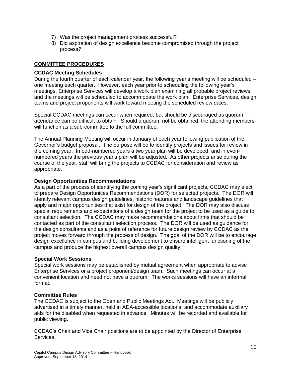- 7) Was the project management process successful?
- 8) Did aspiration of design excellence become compromised through the project process?

# <span id="page-9-0"></span>**COMMITTEE PROCEDURES**

# <span id="page-9-1"></span>**CCDAC Meeting Schedules**

During the fourth quarter of each calendar year, the following year's meeting will be scheduled – one meeting each quarter. However, each year prior to scheduling the following year's meetings, Enterprise Services will develop a work plan examining all probable project reviews and the meetings will be scheduled to accommodate the work plan. Enterprise Services, design teams and project proponents will work toward meeting the scheduled review dates.

Special CCDAC meetings can occur when required, but should be discouraged as quorum attendance can be difficult to obtain. Should a quorum not be obtained, the attending members will function as a sub-committee to the full committee.

The Annual Planning Meeting will occur in January of each year following publication of the Governor's budget proposal. The purpose will be to identify projects and issues for review in the coming year. In odd-numbered years a two year plan will be developed, and in evennumbered years the previous year's plan will be adjusted. As other projects arise during the course of the year, staff will bring the projects to CCDAC for consideration and review as appropriate.

# <span id="page-9-2"></span>**Design Opportunities Recommendations**

As a part of the process of identifying the coming year's significant projects, CCDAC may elect to prepare Design Opportunities Recommendations (DOR) for selected projects. The DOR will identify relevant campus design guidelines, historic features and landscape guidelines that apply and major opportunities that exist for design of the project. The DOR may also discuss special requirements and expectations of a design team for the project to be used as a guide to consultant selection. The CCDAC may make recommendations about firms that should be contacted as part of the consultant selection process. The DOR will be used as guidance for the design consultants and as a point of reference for future design review by CCDAC as the project moves forward through the process of design. The goal of the DOR will be to encourage design excellence in campus and building development to ensure intelligent functioning of the campus and produce the highest overall campus design quality.

# <span id="page-9-3"></span>**Special Work Sessions**

Special work sessions may be established by mutual agreement when appropriate to advise Enterprise Services or a project proponent/design team. Such meetings can occur at a convenient location and need not have a quorum. The works sessions will have an informal format.

# <span id="page-9-4"></span>**Committee Rules**

The CCDAC is subject to the Open and Public Meetings Act. Meetings will be publicly advertised in a timely manner, held in ADA-accessible locations, and accommodate auxiliary aids for the disabled when requested in advance. Minutes will be recorded and available for public viewing.

CCDAC's Chair and Vice Chair positions are to be appointed by the Director of Enterprise Services.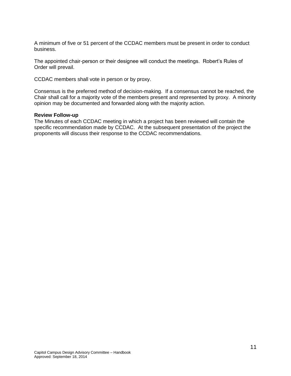A minimum of five or 51 percent of the CCDAC members must be present in order to conduct business.

The appointed chair-person or their designee will conduct the meetings. Robert's Rules of Order will prevail.

CCDAC members shall vote in person or by proxy.

Consensus is the preferred method of decision-making. If a consensus cannot be reached, the Chair shall call for a majority vote of the members present and represented by proxy. A minority opinion may be documented and forwarded along with the majority action.

#### <span id="page-10-0"></span>**Review Follow-up**

The Minutes of each CCDAC meeting in which a project has been reviewed will contain the specific recommendation made by CCDAC. At the subsequent presentation of the project the proponents will discuss their response to the CCDAC recommendations.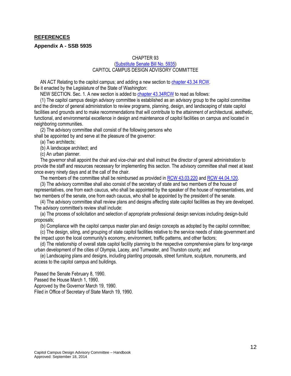## <span id="page-11-0"></span>**REFERENCES**

#### <span id="page-11-1"></span>**Appendix A - SSB 5935**

#### CHAPTER 93

#### [\(Substitute Senate Bill No. 5935\)](http://leg.wa.gov/CodeReviser/documents/sessionlaw/1990pam1.pdf) CAPITOL CAMPUS DESIGN ADVISORY COMMITTEE

 AN ACT Relating to the capitol campus; and adding a new section to [chapter 43.34](http://apps.leg.wa.gov/rcw/default.aspx?cite=43.34) RCW. Be it enacted by the Legislature of the State of Washington:

NEW SECTION. Sec. 1. A new section is added to [chapter 43.34RCW](http://apps.leg.wa.gov/rcw/default.aspx?cite=43.34) to read as follows:

 (1) The capitol campus design advisory committee is established as an advisory group to the capitol committee and the director of general administration to review programs, planning, design, and landscaping of state capitol facilities and grounds and to make recommendations that will contribute to the attainment of architectural, aesthetic, functional, and environmental excellence in design and maintenance of capitol facilities on campus and located in neighboring communities.

 (2) The advisory committee shall consist of the following persons who shall be appointed by and serve at the pleasure of the governor:

(a) Two architects;

(b) A landscape architect; and

(c) An urban planner.

 The governor shall appoint the chair and vice-chair and shall instruct the director of general administration to provide the staff and resources necessary for implementing this section. The advisory committee shall meet at least once every ninety days and at the call of the chair.

The members of the committee shall be reimbursed as provided in [RCW 43.03.220](http://apps.leg.wa.gov/rcw/default.aspx?cite=43.03.220) and [RCW 44.04.120.](http://apps.leg.wa.gov/RCW/default.aspx?cite=44.04.120)

 (3) The advisory committee shall also consist of the secretary of state and two members of the house of representatives, one from each caucus, who shall be appointed by the speaker of the house of representatives, and two members of the senate, one from each caucus, who shall be appointed by the president of the senate.

 (4) The advisory committee shall review plans and designs affecting state capitol facilities as they are developed. The advisory committee's review shall include:

 (a) The process of solicitation and selection of appropriate professional design services including design-build proposals;

(b) Compliance with the capitol campus master plan and design concepts as adopted by the capitol committee;

 (c) The design, siting, and grouping of state capitol facilities relative to the service needs of state government and the impact upon the local community's economy, environment, traffic patterns, and other factors;

 (d) The relationship of overall state capitol facility planning to the respective comprehensive plans for long-range urban development of the cities of Olympia, Lacey, and Tumwater, and Thurston county; and

 (e) Landscaping plans and designs, including planting proposals, street furniture, sculpture, monuments, and access to the capitol campus and buildings.

Passed the Senate February 8, 1990. Passed the House March 1, 1990. Approved by the Governor March 19, 1990. Filed in Office of Secretary of State March 19, 1990.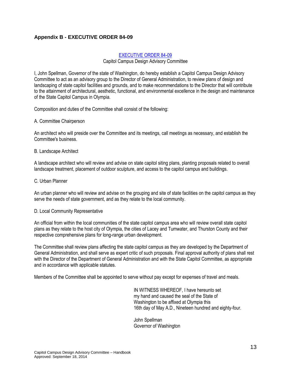# <span id="page-12-0"></span>**Appendix B - EXECUTIVE ORDER 84-09**

## [EXECUTIVE ORDER 84-09](http://www.digitalarchives.wa.gov/favicon.ico)

Capitol Campus Design Advisory Committee

I, John Spellman, Governor of the state of Washington, do hereby establish a Capitol Campus Design Advisory Committee to act as an advisory group to the Director of General Administration, to review plans of design and landscaping of state capitol facilities and grounds, and to make recommendations to the Director that will contribute to the attainment of architectural, aesthetic, functional, and environmental excellence in the design and maintenance of the State Capitol Campus in Olympia.

Composition and duties of the Committee shall consist of the following:

A. Committee Chairperson

An architect who will preside over the Committee and its meetings, call meetings as necessary, and establish the Committee's business.

#### B. Landscape Architect

A landscape architect who will review and advise on state capitol siting plans, planting proposals related to overall landscape treatment, placement of outdoor sculpture, and access to the capitol campus and buildings.

#### C. Urban Planner

An urban planner who will review and advise on the grouping and site of state facilities on the capitol campus as they serve the needs of state government, and as they relate to the local community.

#### D. Local Community Representative

An official from within the local communities of the state capitol campus area who will review overall state capitol plans as they relate to the host city of Olympia, the cities of Lacey and Tumwater, and Thurston County and their respective comprehensive plans for long-range urban development.

The Committee shall review plans affecting the state capitol campus as they are developed by the Department of General Administration, and shall serve as expert critic of such proposals. Final approval authority of plans shall rest with the Director of the Department of General Administration and with the State Capitol Committee, as appropriate and in accordance with applicable statutes.

Members of the Committee shall be appointed to serve without pay except for expenses of travel and meals.

IN WITNESS WHEREOF, I have hereunto set my hand and caused the seal of the State of Washington to be affixed at Olympia this 16th day of May A.D., Nineteen hundred and eighty-four.

John Spellman Governor of Washington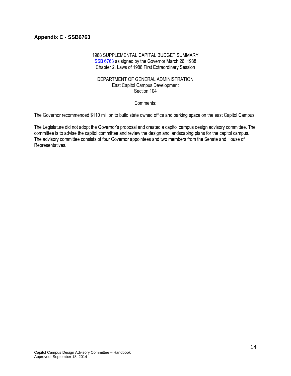# <span id="page-13-0"></span>**Appendix C - SSB6763**

## 1988 SUPPLEMENTAL CAPITAL BUDGET SUMMARY [SSB 6763](http://leap.leg.wa.gov/leap/budget/lbns/1988partv.pdf) as signed by the Governor March 26, 1988 Chapter 2. Laws of 1988 First Extraordinary Session

#### DEPARTMENT OF GENERAL ADMINISTRATION East Capitol Campus Development Section 104

Comments:

The Governor recommended \$110 million to build state owned office and parking space on the east Capitol Campus.

The Legislature did not adopt the Governor's proposal and created a capitol campus design advisory committee. The committee is to advise the capitol committee and review the design and landscaping plans for the capitol campus. The advisory committee consists of four Governor appointees and two members from the Senate and House of Representatives.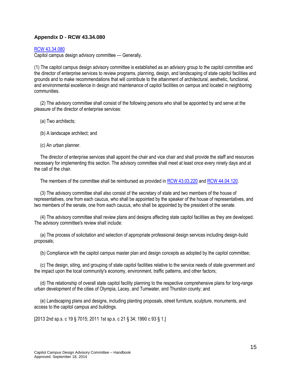# <span id="page-14-0"></span>**Appendix D - RCW 43.34.080**

#### [RCW 43.34.080](RCW%2043_34_080%20Capitol%20campus%20design%20advisory%20committee%20—%20Generally_.htm)

Capitol campus design advisory committee — Generally.

(1) The capitol campus design advisory committee is established as an advisory group to the capitol committee and the director of enterprise services to review programs, planning, design, and landscaping of state capitol facilities and grounds and to make recommendations that will contribute to the attainment of architectural, aesthetic, functional, and environmental excellence in design and maintenance of capitol facilities on campus and located in neighboring communities.

 (2) The advisory committee shall consist of the following persons who shall be appointed by and serve at the pleasure of the director of enterprise services:

- (a) Two architects;
- (b) A landscape architect; and
- (c) An urban planner.

 The director of enterprise services shall appoint the chair and vice chair and shall provide the staff and resources necessary for implementing this section. The advisory committee shall meet at least once every ninety days and at the call of the chair.

The members of the committee shall be reimbursed as provided in [RCW 43.03.220](http://apps.leg.wa.gov/rcw/default.aspx?cite=43.03.220) and RCW [44.04.120.](http://apps.leg.wa.gov/RCW/default.aspx?cite=44.04.120)

 (3) The advisory committee shall also consist of the secretary of state and two members of the house of representatives, one from each caucus, who shall be appointed by the speaker of the house of representatives, and two members of the senate, one from each caucus, who shall be appointed by the president of the senate.

 (4) The advisory committee shall review plans and designs affecting state capitol facilities as they are developed. The advisory committee's review shall include:

 (a) The process of solicitation and selection of appropriate professional design services including design-build proposals;

(b) Compliance with the capitol campus master plan and design concepts as adopted by the capitol committee;

 (c) The design, siting, and grouping of state capitol facilities relative to the service needs of state government and the impact upon the local community's economy, environment, traffic patterns, and other factors;

 (d) The relationship of overall state capitol facility planning to the respective comprehensive plans for long-range urban development of the cities of Olympia, Lacey, and Tumwater, and Thurston county; and

 (e) Landscaping plans and designs, including planting proposals, street furniture, sculpture, monuments, and access to the capitol campus and buildings.

[2013 2nd sp.s. c 19 § 7015; 2011 1st sp.s. c 21 § 34; 1990 c 93 § 1.]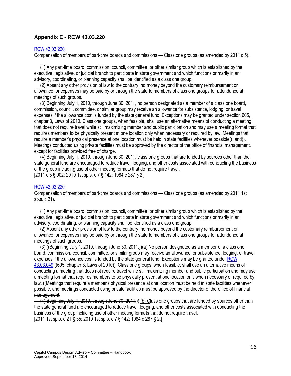## <span id="page-15-0"></span>**Appendix E - RCW [43.03.220](http://apps.leg.wa.gov/RCW/default.aspx?cite=43.03.220)**

#### [RCW 43.03.220](http://apps.leg.wa.gov/rcw/default.aspx?cite=43.03.220)

Compensation of members of part-time boards and commissions — Class one groups (as amended by 2011 c 5).

 (1) Any part-time board, commission, council, committee, or other similar group which is established by the executive, legislative, or judicial branch to participate in state government and which functions primarily in an advisory, coordinating, or planning capacity shall be identified as a class one group.

 (2) Absent any other provision of law to the contrary, no money beyond the customary reimbursement or allowance for expenses may be paid by or through the state to members of class one groups for attendance at meetings of such groups.

 (3) Beginning July 1, 2010, through June 30, 2011, no person designated as a member of a class one board, commission, council, committee, or similar group may receive an allowance for subsistence, lodging, or travel expenses if the allowance cost is funded by the state general fund. Exceptions may be granted under section 605, chapter 3, Laws of 2010. Class one groups, when feasible, shall use an alternative means of conducting a meeting that does not require travel while still maximizing member and public participation and may use a meeting format that requires members to be physically present at one location only when necessary or required by law. Meetings that require a member's physical presence at one location must be held in state facilities whenever possible((, and)). Meetings conducted using private facilities must be approved by the director of the office of financial management, except for facilities provided free of charge.

 (4) Beginning July 1, 2010, through June 30, 2011, class one groups that are funded by sources other than the state general fund are encouraged to reduce travel, lodging, and other costs associated with conducting the business of the group including use of other meeting formats that do not require travel. [2011 c 5 § 902; 2010 1st sp.s. c 7 § 142; 1984 c 287 § 2.]

#### [RCW 43.03.220](http://apps.leg.wa.gov/rcw/default.aspx?cite=43.03.220)

Compensation of members of part-time boards and commissions — Class one groups (as amended by 2011 1st sp.s. c 21).

 (1) Any part-time board, commission, council, committee, or other similar group which is established by the executive, legislative, or judicial branch to participate in state government and which functions primarily in an advisory, coordinating, or planning capacity shall be identified as a class one group.

 (2) Absent any other provision of law to the contrary, no money beyond the customary reimbursement or allowance for expenses may be paid by or through the state to members of class one groups for attendance at meetings of such groups.

 (3) ((Beginning July 1, 2010, through June 30, 2011,))(a) No person designated as a member of a class one board, commission, council, committee, or similar group may receive an allowance for subsistence, lodging, or travel expenses if the allowance cost is funded by the state general fund. Exceptions may be granted unde[r RCW](http://apps.leg.wa.gov/RCW/default.aspx?cite=43.03.049)  [43.03.049](http://apps.leg.wa.gov/RCW/default.aspx?cite=43.03.049) ((605, chapter 3, Laws of 2010)). Class one groups, when feasible, shall use an alternative means of conducting a meeting that does not require travel while still maximizing member and public participation and may use a meeting format that requires members to be physically present at one location only when necessary or required by law. ((Meetings that require a member's physical presence at one location must be held in state facilities whenever possible, and meetings conducted using private facilities must be approved by the director of the office of financial management.

 (4) Beginning July 1, 2010, through June 30, 2011,)) (b) Class one groups that are funded by sources other than the state general fund are encouraged to reduce travel, lodging, and other costs associated with conducting the business of the group including use of other meeting formats that do not require travel. [2011 1st sp.s. c 21 § 55; 2010 1st sp.s. c 7 § 142; 1984 c 287 § 2.]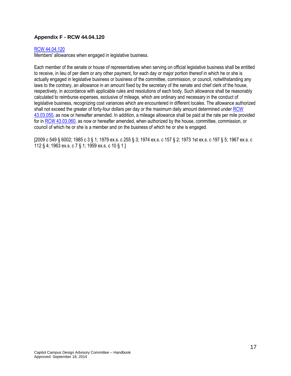# <span id="page-16-0"></span>**Appendix F - RCW [44.04.120](http://apps.leg.wa.gov/RCW/default.aspx?cite=44.04.120)**

#### [RCW 44.04.120](RCW%2044_04_120%20Members)

Members' allowances when engaged in legislative business.

Each member of the senate or house of representatives when serving on official legislative business shall be entitled to receive, in lieu of per diem or any other payment, for each day or major portion thereof in which he or she is actually engaged in legislative business or business of the committee, commission, or council, notwithstanding any laws to the contrary, an allowance in an amount fixed by the secretary of the senate and chief clerk of the house, respectively, in accordance with applicable rules and resolutions of each body. Such allowance shall be reasonably calculated to reimburse expenses, exclusive of mileage, which are ordinary and necessary in the conduct of legislative business, recognizing cost variances which are encountered in different locales. The allowance authorized shall not exceed the greater of forty-four dollars per day or the maximum daily amount determined under [RCW](http://apps.leg.wa.gov/RCW/default.aspx?cite=43.03.050)  [43.03.050,](http://apps.leg.wa.gov/RCW/default.aspx?cite=43.03.050) as now or hereafter amended. In addition, a mileage allowance shall be paid at the rate per mile provided for i[n RCW 43.03.060,](http://apps.leg.wa.gov/RCW/default.aspx?cite=43.03.060) as now or hereafter amended, when authorized by the house, committee, commission, or council of which he or she is a member and on the business of which he or she is engaged.

[2009 c 549 § 6002; 1985 c 3 § 1; 1979 ex.s. c 255 § 3; 1974 ex.s. c 157 § 2; 1973 1st ex.s. c 197 § 5; 1967 ex.s. c 112 § 4; 1963 ex.s. c 7 § 1; 1959 ex.s. c 10 § 1.]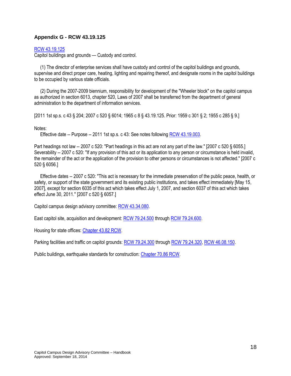# <span id="page-17-0"></span>**Appendix G - RCW 43.19.125**

#### [RCW 43.19.125](http://apps.leg.wa.gov/rcw/default.aspx?cite=43.19.125)

Capitol buildings and grounds — Custody and control.

 (1) The director of enterprise services shall have custody and control of the capitol buildings and grounds, supervise and direct proper care, heating, lighting and repairing thereof, and designate rooms in the capitol buildings to be occupied by various state officials.

 (2) During the 2007-2009 biennium, responsibility for development of the "Wheeler block" on the capitol campus as authorized in section 6013, chapter 520, Laws of 2007 shall be transferred from the department of general administration to the department of information services.

[2011 1st sp.s. c 43 § 204; 2007 c 520 § 6014; 1965 c 8 [§ 43.19.125.](http://apps.leg.wa.gov/rcw/default.aspx?cite=43.19.125) Prior: 1959 c 301 § 2; 1955 c 285 § 9.]

#### Notes:

Effective date -- Purpose -- 2011 1st sp.s. c 43: See notes following [RCW 43.19.003.](http://apps.leg.wa.gov/RCW/default.aspx?cite=43.19.003)

Part headings not law -- 2007 c 520: "Part headings in this act are not any part of the law." [2007 c 520 § 6055.] Severability -- 2007 c 520: "If any provision of this act or its application to any person or circumstance is held invalid, the remainder of the act or the application of the provision to other persons or circumstances is not affected." [2007 c 520 § 6056.]

 Effective dates -- 2007 c 520: "This act is necessary for the immediate preservation of the public peace, health, or safety, or support of the state government and its existing public institutions, and takes effect immediately [May 15, 2007], except for section 6035 of this act which takes effect July 1, 2007, and section 6037 of this act which takes effect June 30, 2011." [2007 c 520 § 6057.]

Capitol campus design advisory committee[: RCW 43.34.080.](file://filedepot.eclient.wa.lcl/Legacy-GA/Facilities/Business%20Unit/Administration/Administration%20-%20Staff/CCDAC/CCDAC%20Handbook/RCW%2043_34_080%20Capitol%20campus%20design%20advisory%20committee%20—%20Generally_.htm)

East capitol site, acquisition and development[: RCW 79.24.500](http://apps.leg.wa.gov/RCW/default.aspx?cite=79.24.500) through [RCW 79.24.600.](http://apps.leg.wa.gov/RCW/default.aspx?cite=79.24.600)

Housing for state offices: [Chapter 43.82 RCW.](http://apps.leg.wa.gov/RCW/default.aspx?cite=43.82)

Parking facilities and traffic on capitol grounds[: RCW 79.24.300](http://apps.leg.wa.gov/RCW/default.aspx?cite=79.24.300) throug[h RCW 79.24.320,](http://apps.leg.wa.gov/RCW/default.aspx?cite=79.24.320) RCW [46.08.150.](http://apps.leg.wa.gov/RCW/default.aspx?cite=46.08.150)

Public buildings, earthquake standards for construction: [Chapter 70.86 RCW.](http://apps.leg.wa.gov/RCW/default.aspx?cite=70.86&full=true)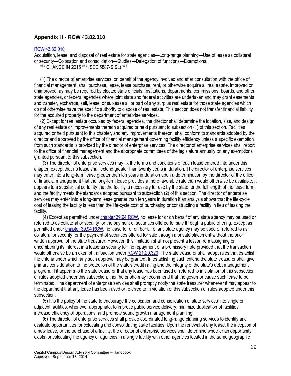## <span id="page-18-0"></span>**Appendix H - RCW 43.82.010**

#### [RCW 43.82.010](http://apps.leg.wa.gov/rcw/default.aspx?cite=43.82.010)

Acquisition, lease, and disposal of real estate for state agencies—Long-range planning—Use of lease as collateral or security—Colocation and consolidation—Studies—Delegation of functions—Exemptions.

\*\*\* CHANGE IN 2015 \*\*\* (SEE [5887-S.SL\)](http://lawfilesext.leg.wa.gov/biennium/2015-16/Pdf/Bills/Session%20Laws/Senate/5887-S.SL.pdf) \*\*\*

 (1) The director of enterprise services, on behalf of the agency involved and after consultation with the office of financial management, shall purchase, lease, lease purchase, rent, or otherwise acquire all real estate, improved or unimproved, as may be required by elected state officials, institutions, departments, commissions, boards, and other state agencies, or federal agencies where joint state and federal activities are undertaken and may grant easements and transfer, exchange, sell, lease, or sublease all or part of any surplus real estate for those state agencies which do not otherwise have the specific authority to dispose of real estate. This section does not transfer financial liability for the acquired property to the department of enterprise services.

 (2) Except for real estate occupied by federal agencies, the director shall determine the location, size, and design of any real estate or improvements thereon acquired or held pursuant to subsection (1) of this section. Facilities acquired or held pursuant to this chapter, and any improvements thereon, shall conform to standards adopted by the director and approved by the office of financial management governing facility efficiency unless a specific exemption from such standards is provided by the director of enterprise services. The director of enterprise services shall report to the office of financial management and the appropriate committees of the legislature annually on any exemptions granted pursuant to this subsection.

(3) The director of enterprise services may fix the terms and conditions of each lease entered into under this chapter, except that no lease shall extend greater than twenty years in duration. The director of enterprise services may enter into a long-term lease greater than ten years in duration upon a determination by the director of the office of financial management that the long-term lease provides a more favorable rate than would otherwise be available, it appears to a substantial certainty that the facility is necessary for use by the state for the full length of the lease term, and the facility meets the standards adopted pursuant to subsection (2) of this section. The director of enterprise services may enter into a long-term lease greater than ten years in duration if an analysis shows that the life-cycle cost of leasing the facility is less than the life-cycle cost of purchasing or constructing a facility in lieu of leasing the facility.

(4) Except as permitted under [chapter 39.94 RCW,](http://apps.leg.wa.gov/RCW/default.aspx?cite=39.94) no lease for or on behalf of any state agency may be used or referred to as collateral or security for the payment of securities offered for sale through a public offering. Except as permitted unde[r chapter 39.94 RCW,](http://apps.leg.wa.gov/RCW/default.aspx?cite=39.94) no lease for or on behalf of any state agency may be used or referred to as collateral or security for the payment of securities offered for sale through a private placement without the prior written approval of the state treasurer. However, this limitation shall not prevent a lessor from assigning or encumbering its interest in a lease as security for the repayment of a promissory note provided that the transaction would otherwise be an exempt transaction unde[r RCW 21.20.320.](http://apps.leg.wa.gov/RCW/default.aspx?cite=21.20.320) The state treasurer shall adopt rules that establish the criteria under which any such approval may be granted. In establishing such criteria the state treasurer shall give primary consideration to the protection of the state's credit rating and the integrity of the state's debt management program. If it appears to the state treasurer that any lease has been used or referred to in violation of this subsection or rules adopted under this subsection, then he or she may recommend that the governor cause such lease to be terminated. The department of enterprise services shall promptly notify the state treasurer whenever it may appear to the department that any lease has been used or referred to in violation of this subsection or rules adopted under this subsection.

(5) It is the policy of the state to encourage the colocation and consolidation of state services into single or adjacent facilities, whenever appropriate, to improve public service delivery, minimize duplication of facilities, increase efficiency of operations, and promote sound growth management planning.

(6) The director of enterprise services shall provide coordinated long-range planning services to identify and evaluate opportunities for colocating and consolidating state facilities. Upon the renewal of any lease, the inception of a new lease, or the purchase of a facility, the director of enterprise services shall determine whether an opportunity exists for colocating the agency or agencies in a single facility with other agencies located in the same geographic